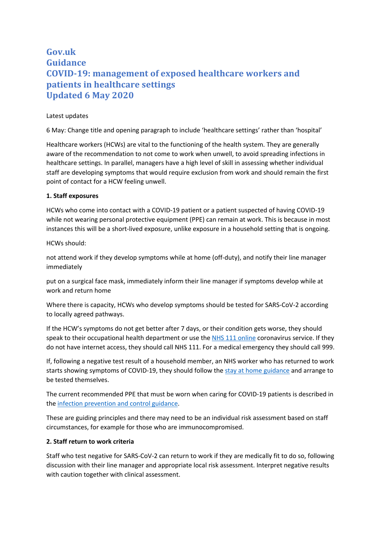# **Gov.uk Guidance COVID-19: management of exposed healthcare workers and patients in healthcare settings Updated 6 May 2020**

### Latest updates

6 May: Change title and opening paragraph to include 'healthcare settings' rather than 'hospital'

Healthcare workers (HCWs) are vital to the functioning of the health system. They are generally aware of the recommendation to not come to work when unwell, to avoid spreading infections in healthcare settings. In parallel, managers have a high level of skill in assessing whether individual staff are developing symptoms that would require exclusion from work and should remain the first point of contact for a HCW feeling unwell.

### **1. Staff exposures**

HCWs who come into contact with a COVID-19 patient or a patient suspected of having COVID-19 while not wearing personal protective equipment (PPE) can remain at work. This is because in most instances this will be a short-lived exposure, unlike exposure in a household setting that is ongoing.

### HCWs should:

not attend work if they develop symptoms while at home (off-duty), and notify their line manager immediately

put on a surgical face mask, immediately inform their line manager if symptoms develop while at work and return home

Where there is capacity, HCWs who develop symptoms should be tested for SARS-CoV-2 according to locally agreed pathways.

If the HCW's symptoms do not get better after 7 days, or their condition gets worse, they should speak to their occupational health department or use the NHS 111 online coronavirus service. If they do not have internet access, they should call NHS 111. For a medical emergency they should call 999.

If, following a negative test result of a household member, an NHS worker who has returned to work starts showing symptoms of COVID-19, they should follow the stay at home guidance and arrange to be tested themselves.

The current recommended PPE that must be worn when caring for COVID-19 patients is described in the infection prevention and control guidance.

These are guiding principles and there may need to be an individual risk assessment based on staff circumstances, for example for those who are immunocompromised.

## **2. Staff return to work criteria**

Staff who test negative for SARS-CoV-2 can return to work if they are medically fit to do so, following discussion with their line manager and appropriate local risk assessment. Interpret negative results with caution together with clinical assessment.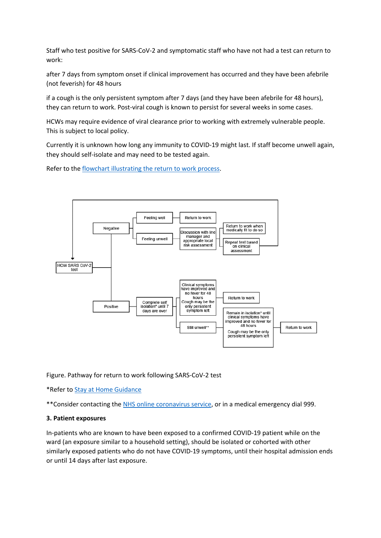Staff who test positive for SARS-CoV-2 and symptomatic staff who have not had a test can return to work:

after 7 days from symptom onset if clinical improvement has occurred and they have been afebrile (not feverish) for 48 hours

if a cough is the only persistent symptom after 7 days (and they have been afebrile for 48 hours), they can return to work. Post-viral cough is known to persist for several weeks in some cases.

HCWs may require evidence of viral clearance prior to working with extremely vulnerable people. This is subject to local policy.

Currently it is unknown how long any immunity to COVID-19 might last. If staff become unwell again, they should self-isolate and may need to be tested again.

Refer to the flowchart illustrating the return to work process.



Figure. Pathway for return to work following SARS-CoV-2 test

\*Refer to Stay at Home Guidance

\*\*Consider contacting the NHS online coronavirus service, or in a medical emergency dial 999.

#### **3. Patient exposures**

In-patients who are known to have been exposed to a confirmed COVID-19 patient while on the ward (an exposure similar to a household setting), should be isolated or cohorted with other similarly exposed patients who do not have COVID-19 symptoms, until their hospital admission ends or until 14 days after last exposure.